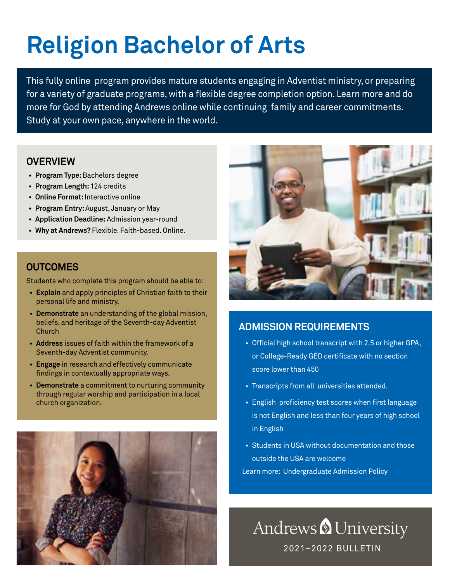# **Religion Bachelor of Arts**

This fully online program provides mature students engaging in Adventist ministry, or preparing for a variety of graduate programs, with a flexible degree completion option. Learn more and do more for God by attending Andrews online while continuing family and career commitments. Study at your own pace, anywhere in the world.

## **OVERVIEW**

- **• Program Type:** Bachelors degree
- **• Program Length:** 124 credits
- **• Online Format:** Interactive online
- **• Program Entry:** August, January or May
- **• Application Deadline:** Admission year-round
- **• Why at Andrews?** Flexible. Faith-based. Online.

# **OUTCOMES**

Students who complete this program should be able to:

- **• Explain** and apply principles of Christian faith to their personal life and ministry.
- **• Demonstrate** an understanding of the global mission, beliefs, and heritage of the Seventh-day Adventist Church
- **• Address** issues of faith within the framework of a Seventh-day Adventist community.
- **• Engage** in research and effectively communicate findings in contextually appropriate ways.
- **• Demonstrate** a commitment to nurturing community through regular worship and participation in a local church organization.





# **ADMISSION REQUIREMENTS**

- Official high school transcript with 2.5 or higher GPA, or College-Ready GED certificate with no section score lower than 450
- Transcripts from all universities attended.
- English proficiency test scores when first language is not English and less than four years of high school in English
- Students in USA without documentation and those outside the USA are welcome

Learn more: [Undergraduate Admission Policy](https://bulletin.andrews.edu/content.php?catoid=19&navoid=4154)

Andrews & University 2021–2022 BULLETIN